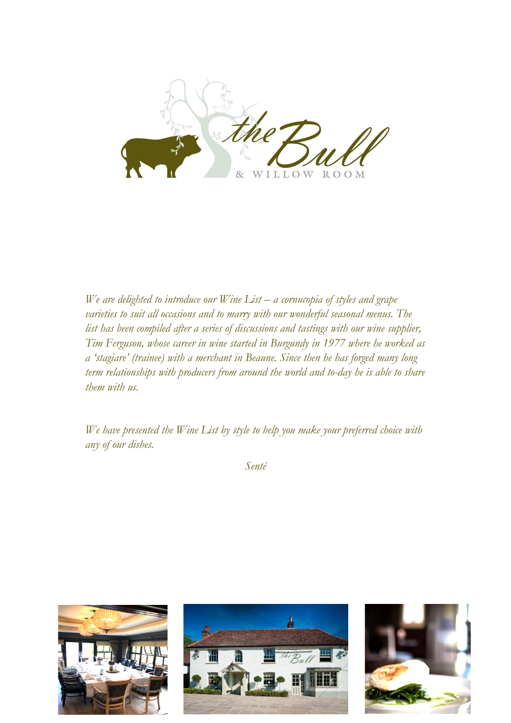

*We are delighted to introduce our Wine List – a cornucopia of styles and grape varieties to suit all occasions and to marry with our wonderful seasonal menus. The list has been compiled after a series of discussions and tastings with our wine supplier, Tim Ferguson, whose career in wine started in Burgundy in 1977 where he worked as a 'stagiare' (trainee) with a merchant in Beaune. Since then he has forged many long term relationships with producers from around the world and to-day he is able to share them with us.*

*We have presented the Wine List by style to help you make your preferred choice with any of our dishes.*

*Senté*

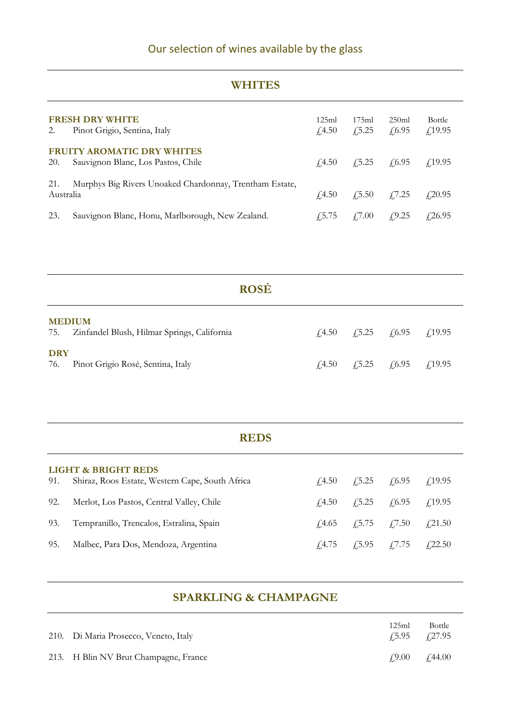## **WHITES**

| 2.               | <b>FRESH DRY WHITE</b><br>Pinot Grigio, Sentina, Italy                  | 125ml<br>$\sqrt{4.50}$ | 175ml<br>f(5.25)             | 250ml<br>f(6.95)                         | Bottle<br>f(19.95) |
|------------------|-------------------------------------------------------------------------|------------------------|------------------------------|------------------------------------------|--------------------|
| <b>20.</b>       | <b>FRUITY AROMATIC DRY WHITES</b><br>Sauvignon Blanc, Los Pastos, Chile |                        |                              | $f(4.50)$ $f(5.25)$ $f(6.95)$ $f(19.95)$ |                    |
| 21.<br>Australia | Murphys Big Rivers Unoaked Chardonnay, Trentham Estate,                 |                        | $f(4.50 \t f(5.50 \t f(7.25$ |                                          | $\sqrt{20.95}$     |
| 23.              | Sauvignon Blanc, Honu, Marlborough, New Zealand.                        | $\sqrt{5.75}$          | $\angle 7.00$                | f(9.25)                                  | $f$ 26.95          |

|                      | <b>ROSÉ</b>                                 |  |                                          |  |
|----------------------|---------------------------------------------|--|------------------------------------------|--|
| <b>MEDIUM</b><br>75. | Zinfandel Blush, Hilmar Springs, California |  | $f(4.50)$ $f(5.25)$ $f(6.95)$ $f(19.95)$ |  |
| <b>DRY</b><br>76.    | Pinot Grigio Rosé, Sentina, Italy           |  | $f(4.50)$ $f(5.25)$ $f(6.95)$ $f(19.95)$ |  |

|     | <b>REDS</b>                                                            |                                                                                  |                                          |                     |
|-----|------------------------------------------------------------------------|----------------------------------------------------------------------------------|------------------------------------------|---------------------|
| 91. | LIGHT & BRIGHT REDS<br>Shiraz, Roos Estate, Western Cape, South Africa |                                                                                  | $f(4.50)$ $f(5.25)$ $f(6.95)$ $f(19.95)$ |                     |
| 92. | Merlot, Los Pastos, Central Valley, Chile                              |                                                                                  | $f(4.50)$ $f(5.25)$ $f(6.95)$            | f <sub>.19.95</sub> |
| 93. | Tempranillo, Trencalos, Estralina, Spain                               | $\textit{\textbf{4.4.65}}$ $\textit{\textbf{4.5.75}}$ $\textit{\textbf{4.7.50}}$ |                                          | $\angle 21.50$      |
| 95. | Malbec, Para Dos, Mendoza, Argentina                                   | $\textit{f}_14.75$ $\textit{f}_25.95$ $\textit{f}_17.75$                         |                                          | $\sqrt{22.50}$      |

## **SPARKLING & CHAMPAGNE**

| 210. Di Maria Prosecco, Veneto, Italy | 125ml<br>$\sqrt{5.95}$ $\sqrt{27.95}$ | Bottle |
|---------------------------------------|---------------------------------------|--------|
| 213. H Blin NV Brut Champagne, France | $\angle 9.00 \angle 44.00$            |        |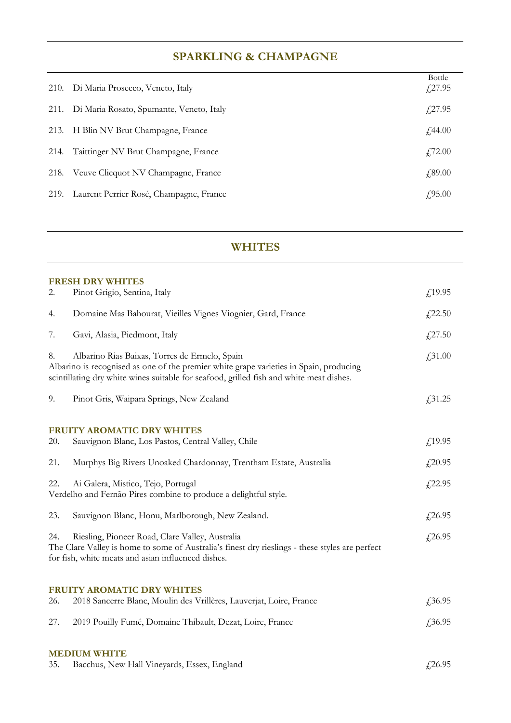## **SPARKLING & CHAMPAGNE**

|      | 210. Di Maria Prosecco, Veneto, Italy         | <b>Bottle</b><br>$f$ , 27.95 |
|------|-----------------------------------------------|------------------------------|
|      | 211. Di Maria Rosato, Spumante, Veneto, Italy | £27.95                       |
|      | 213. H Blin NV Brut Champagne, France         | f44.00                       |
| 214. | Taittinger NV Brut Champagne, France          | £72.00                       |
|      | 218. Veuve Clicquot NV Champagne, France      | £89.00                       |
|      | 219. Laurent Perrier Rosé, Champagne, France  | $\sqrt{.95.00}$              |

### **WHITES**

|     | <b>FRESH DRY WHITES</b>                                                                                                                                                                                                            |          |
|-----|------------------------------------------------------------------------------------------------------------------------------------------------------------------------------------------------------------------------------------|----------|
| 2.  | Pinot Grigio, Sentina, Italy                                                                                                                                                                                                       | f(19.95) |
| 4.  | Domaine Mas Bahourat, Vieilles Vignes Viognier, Gard, France                                                                                                                                                                       | £22.50   |
| 7.  | Gavi, Alasia, Piedmont, Italy                                                                                                                                                                                                      | £27.50   |
| 8.  | Albarino Rias Baixas, Torres de Ermelo, Spain<br>Albarino is recognised as one of the premier white grape varieties in Spain, producing<br>scintillating dry white wines suitable for seafood, grilled fish and white meat dishes. | £,31.00  |
| 9.  | Pinot Gris, Waipara Springs, New Zealand                                                                                                                                                                                           | £31.25   |
|     | <b>FRUITY AROMATIC DRY WHITES</b>                                                                                                                                                                                                  |          |
| 20. | Sauvignon Blanc, Los Pastos, Central Valley, Chile                                                                                                                                                                                 | f(19.95) |
| 21. | Murphys Big Rivers Unoaked Chardonnay, Trentham Estate, Australia                                                                                                                                                                  | £,20.95  |
| 22. | Ai Galera, Mistico, Tejo, Portugal<br>Verdelho and Fernão Pires combine to produce a delightful style.                                                                                                                             | £22.95   |
| 23. | Sauvignon Blanc, Honu, Marlborough, New Zealand.                                                                                                                                                                                   | £26.95   |
| 24. | Riesling, Pioneer Road, Clare Valley, Australia<br>The Clare Valley is home to some of Australia's finest dry rieslings - these styles are perfect<br>for fish, white meats and asian influenced dishes.                           | £26.95   |
|     | <b>FRUITY AROMATIC DRY WHITES</b>                                                                                                                                                                                                  |          |
| 26. | 2018 Sancerre Blanc, Moulin des Vrillères, Lauverjat, Loire, France                                                                                                                                                                | £36.95   |
| 27. | 2019 Pouilly Fumé, Domaine Thibault, Dezat, Loire, France                                                                                                                                                                          | £36.95   |
|     | <b>MEDIUM WHITE</b>                                                                                                                                                                                                                |          |

35. Bacchus, New Hall Vineyards, Essex, England  $\qquad \qquad \qquad \qquad \mathcal{L}$ 26.95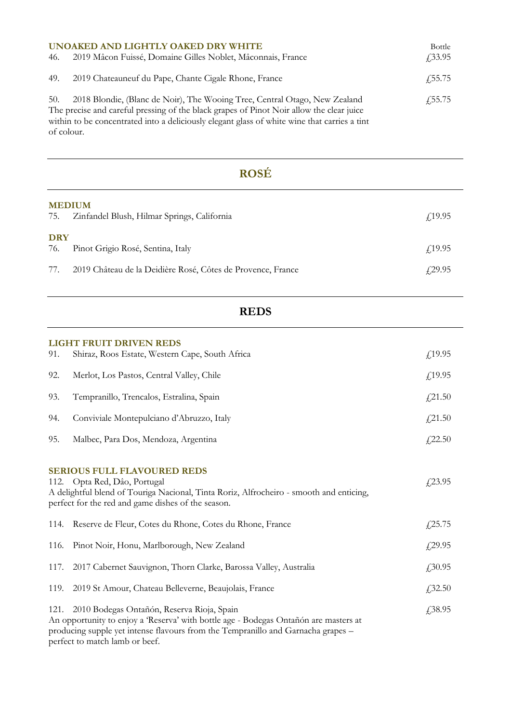| 46.               | UNOAKED AND LIGHTLY OAKED DRY WHITE<br>2019 Mâcon Fuissé, Domaine Gilles Noblet, Mâconnais, France                                                                                                                                                                     | <b>Bottle</b><br>£33.95 |
|-------------------|------------------------------------------------------------------------------------------------------------------------------------------------------------------------------------------------------------------------------------------------------------------------|-------------------------|
| 49.               | 2019 Chateauneuf du Pape, Chante Cigale Rhone, France                                                                                                                                                                                                                  | $\sqrt{55.75}$          |
| 50.<br>of colour. | 2018 Blondie, (Blanc de Noir), The Wooing Tree, Central Otago, New Zealand<br>The precise and careful pressing of the black grapes of Pinot Noir allow the clear juice<br>within to be concentrated into a deliciously elegant glass of white wine that carries a tint | $\sqrt{55.75}$          |

# **ROSÉ**

| <b>MEDIUM</b><br>75. | Zinfandel Blush, Hilmar Springs, California                 | f(19.95)       |
|----------------------|-------------------------------------------------------------|----------------|
| <b>DRY</b><br>76.    | Pinot Grigio Rosé, Sentina, Italy                           | $\angle 19.95$ |
| 77.                  | 2019 Château de la Deidière Rosé, Côtes de Provence, France | $\sqrt{29.95}$ |

## **REDS**

#### **LIGHT FRUIT DRIVEN REDS**

| 91.  | Shiraz, Roos Estate, Western Cape, South Africa                                                                                                                                                                                                          | f(19.95) |
|------|----------------------------------------------------------------------------------------------------------------------------------------------------------------------------------------------------------------------------------------------------------|----------|
| 92.  | Merlot, Los Pastos, Central Valley, Chile                                                                                                                                                                                                                | £,19.95  |
| 93.  | Tempranillo, Trencalos, Estralina, Spain                                                                                                                                                                                                                 | £21.50   |
| 94.  | Conviviale Montepulciano d'Abruzzo, Italy                                                                                                                                                                                                                | £21.50   |
| 95.  | Malbec, Para Dos, Mendoza, Argentina                                                                                                                                                                                                                     | £22.50   |
|      | <b>SERIOUS FULL FLAVOURED REDS</b><br>112. Opta Red, Dâo, Portugal<br>A delightful blend of Touriga Nacional, Tinta Roriz, Alfrocheiro - smooth and enticing,<br>perfect for the red and game dishes of the season.                                      | £23.95   |
| 114. | Reserve de Fleur, Cotes du Rhone, Cotes du Rhone, France                                                                                                                                                                                                 | £25.75   |
| 116. | Pinot Noir, Honu, Marlborough, New Zealand                                                                                                                                                                                                               | £29.95   |
| 117. | 2017 Cabernet Sauvignon, Thorn Clarke, Barossa Valley, Australia                                                                                                                                                                                         | £30.95   |
| 119. | 2019 St Amour, Chateau Belleverne, Beaujolais, France                                                                                                                                                                                                    | £32.50   |
| 121. | 2010 Bodegas Ontañón, Reserva Rioja, Spain<br>An opportunity to enjoy a 'Reserva' with bottle age - Bodegas Ontañón are masters at<br>producing supple yet intense flavours from the Tempranillo and Garnacha grapes -<br>perfect to match lamb or beef. | £38.95   |